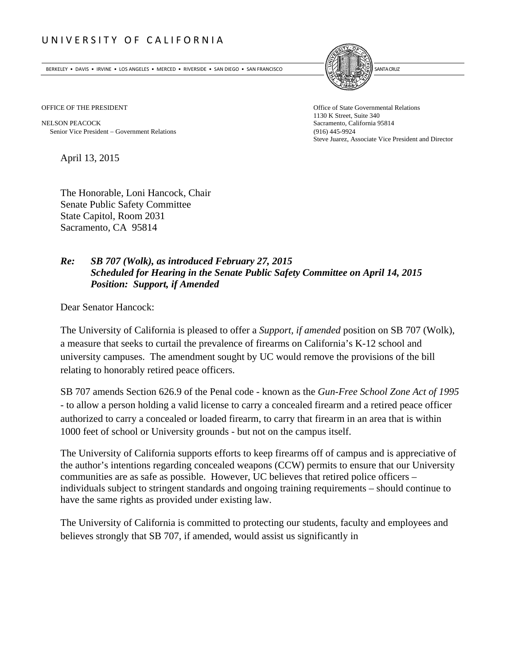## UNIVERSITY OF CALIFORNIA

BERKELEY • DAVIS • IRVINE • LOS ANGELES • MERCED • RIVERSIDE • SAN DIEGO • SAN FRANCISCO **INTERNATIONAL ENCLIPTION** 



NELSON PEACOCK Sacramento, California 95814 Senior Vice President Government Relations (916) 445-9924

OFFICE OF THE PRESIDENT **Office of State Governmental Relations** 1130 K Street, Suite 340 Steve Juarez, Associate Vice President and Director

April 13, 2015

The Honorable, Loni Hancock, Chair Senate Public Safety Committee State Capitol, Room 2031 Sacramento, CA 95814

## *Re: SB 707 (Wolk), as introduced February 27, 2015 Scheduled for Hearing in the Senate Public Safety Committee on April 14, 2015 Position: Support, if Amended*

Dear Senator Hancock:

The University of California is pleased to offer a *Support, if amended* position on SB 707 (Wolk), a measure that seeks to curtail the prevalence of firearms on California's K-12 school and university campuses. The amendment sought by UC would remove the provisions of the bill relating to honorably retired peace officers.

SB 707 amends Section 626.9 of the Penal code - known as the *Gun-Free School Zone Act of 1995*  - to allow a person holding a valid license to carry a concealed firearm and a retired peace officer authorized to carry a concealed or loaded firearm, to carry that firearm in an area that is within 1000 feet of school or University grounds - but not on the campus itself.

The University of California supports efforts to keep firearms off of campus and is appreciative of the author's intentions regarding concealed weapons (CCW) permits to ensure that our University communities are as safe as possible. However, UC believes that retired police officers – individuals subject to stringent standards and ongoing training requirements – should continue to have the same rights as provided under existing law.

The University of California is committed to protecting our students, faculty and employees and believes strongly that SB 707, if amended, would assist us significantly in